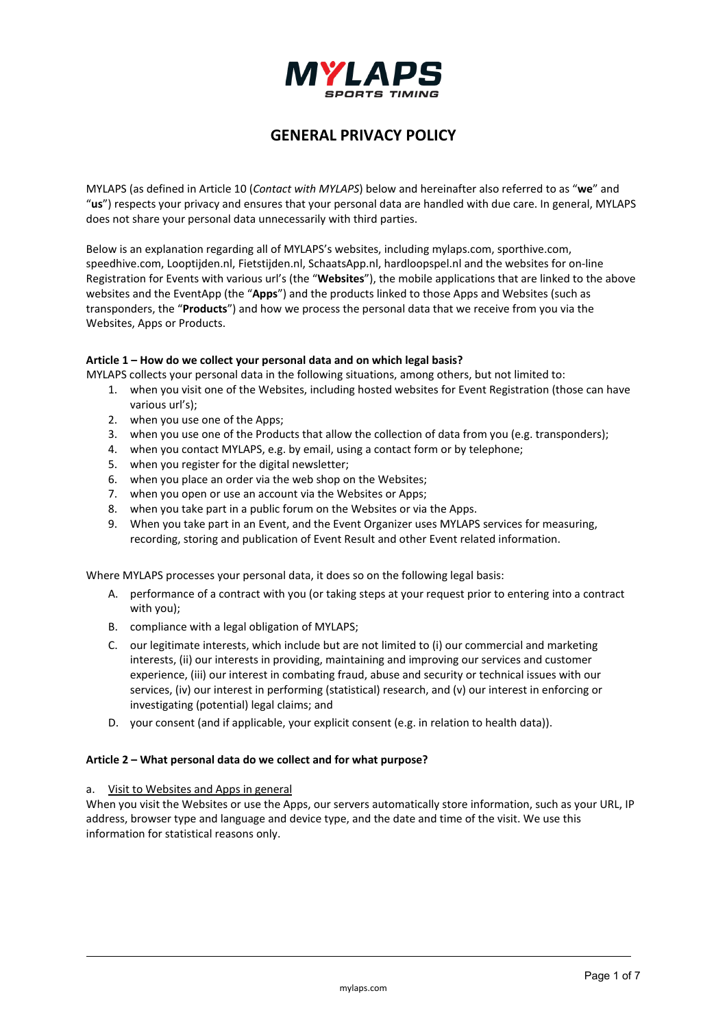

# **GENERAL PRIVACY POLICY**

MYLAPS (as defined in Article 10 (*Contact with MYLAPS*) below and hereinafter also referred to as "**we**" and "**us**") respects your privacy and ensures that your personal data are handled with due care. In general, MYLAPS does not share your personal data unnecessarily with third parties.

Below is an explanation regarding all of MYLAPS's websites, including mylaps.com, sporthive.com, speedhive.com, Looptijden.nl, Fietstijden.nl, SchaatsApp.nl, hardloopspel.nl and the websites for on-line Registration for Events with various url's (the "**Websites**"), the mobile applications that are linked to the above websites and the EventApp (the "**Apps**") and the products linked to those Apps and Websites (such as transponders, the "**Products**") and how we process the personal data that we receive from you via the Websites, Apps or Products.

# **Article 1 – How do we collect your personal data and on which legal basis?**

MYLAPS collects your personal data in the following situations, among others, but not limited to:

- 1. when you visit one of the Websites, including hosted websites for Event Registration (those can have various url's);
- 2. when you use one of the Apps;
- 3. when you use one of the Products that allow the collection of data from you (e.g. transponders);
- 4. when you contact MYLAPS, e.g. by email, using a contact form or by telephone;
- 5. when you register for the digital newsletter;
- 6. when you place an order via the web shop on the Websites;
- 7. when you open or use an account via the Websites or Apps;
- 8. when you take part in a public forum on the Websites or via the Apps.
- 9. When you take part in an Event, and the Event Organizer uses MYLAPS services for measuring, recording, storing and publication of Event Result and other Event related information.

Where MYLAPS processes your personal data, it does so on the following legal basis:

- A. performance of a contract with you (or taking steps at your request prior to entering into a contract with you);
- B. compliance with a legal obligation of MYLAPS;
- C. our legitimate interests, which include but are not limited to (i) our commercial and marketing interests, (ii) our interests in providing, maintaining and improving our services and customer experience, (iii) our interest in combating fraud, abuse and security or technical issues with our services, (iv) our interest in performing (statistical) research, and (v) our interest in enforcing or investigating (potential) legal claims; and
- D. your consent (and if applicable, your explicit consent (e.g. in relation to health data)).

# **Article 2 – What personal data do we collect and for what purpose?**

# a. Visit to Websites and Apps in general

When you visit the Websites or use the Apps, our servers automatically store information, such as your URL, IP address, browser type and language and device type, and the date and time of the visit. We use this information for statistical reasons only.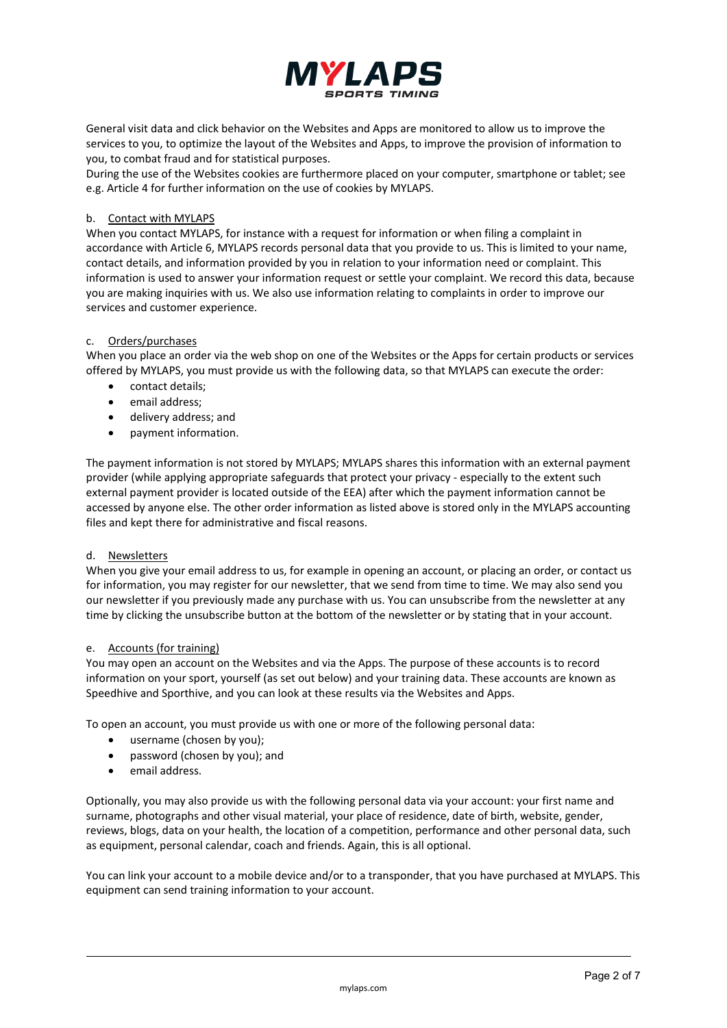

General visit data and click behavior on the Websites and Apps are monitored to allow us to improve the services to you, to optimize the layout of the Websites and Apps, to improve the provision of information to you, to combat fraud and for statistical purposes.

During the use of the Websites cookies are furthermore placed on your computer, smartphone or tablet; see e.g. Article 4 for further information on the use of cookies by MYLAPS.

# b. Contact with MYLAPS

When you contact MYLAPS, for instance with a request for information or when filing a complaint in accordance with Article 6, MYLAPS records personal data that you provide to us. This is limited to your name, contact details, and information provided by you in relation to your information need or complaint. This information is used to answer your information request or settle your complaint. We record this data, because you are making inquiries with us. We also use information relating to complaints in order to improve our services and customer experience.

### c. Orders/purchases

When you place an order via the web shop on one of the Websites or the Apps for certain products or services offered by MYLAPS, you must provide us with the following data, so that MYLAPS can execute the order:

- contact details;
- email address:
- delivery address; and
- payment information.

The payment information is not stored by MYLAPS; MYLAPS shares this information with an external payment provider (while applying appropriate safeguards that protect your privacy - especially to the extent such external payment provider is located outside of the EEA) after which the payment information cannot be accessed by anyone else. The other order information as listed above is stored only in the MYLAPS accounting files and kept there for administrative and fiscal reasons.

# d. Newsletters

When you give your email address to us, for example in opening an account, or placing an order, or contact us for information, you may register for our newsletter, that we send from time to time. We may also send you our newsletter if you previously made any purchase with us. You can unsubscribe from the newsletter at any time by clicking the unsubscribe button at the bottom of the newsletter or by stating that in your account.

### e. Accounts (for training)

You may open an account on the Websites and via the Apps. The purpose of these accounts is to record information on your sport, yourself (as set out below) and your training data. These accounts are known as Speedhive and Sporthive, and you can look at these results via the Websites and Apps.

To open an account, you must provide us with one or more of the following personal data:

- username (chosen by you);
- password (chosen by you); and
- email address.

Optionally, you may also provide us with the following personal data via your account: your first name and surname, photographs and other visual material, your place of residence, date of birth, website, gender, reviews, blogs, data on your health, the location of a competition, performance and other personal data, such as equipment, personal calendar, coach and friends. Again, this is all optional.

You can link your account to a mobile device and/or to a transponder, that you have purchased at MYLAPS. This equipment can send training information to your account.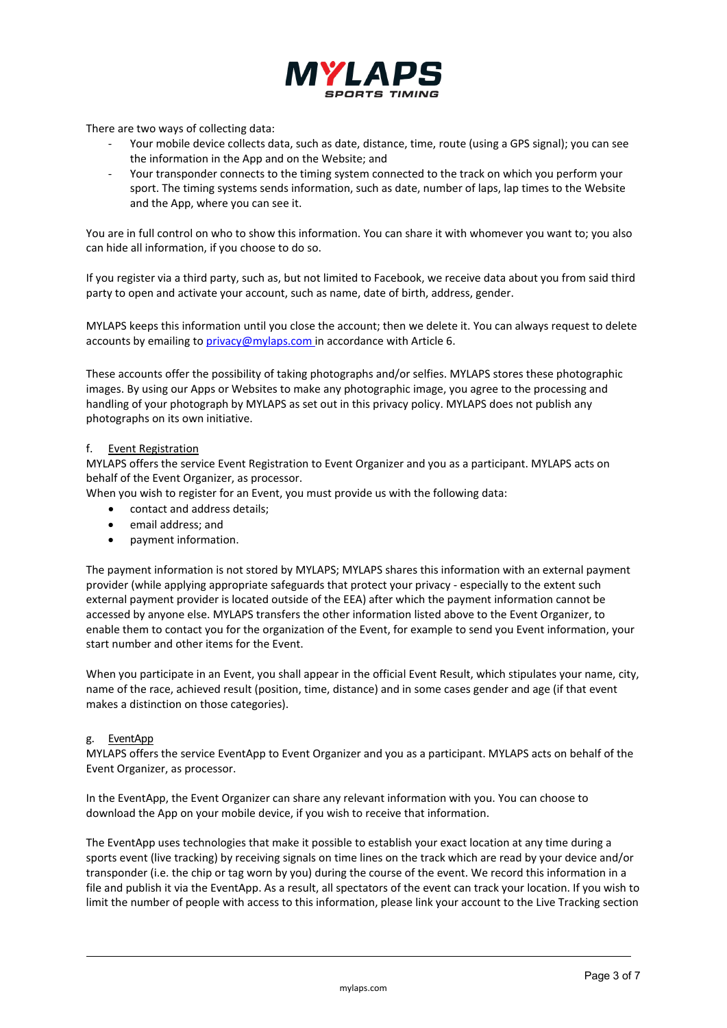

There are two ways of collecting data:

- Your mobile device collects data, such as date, distance, time, route (using a GPS signal); you can see the information in the App and on the Website; and
- Your transponder connects to the timing system connected to the track on which you perform your sport. The timing systems sends information, such as date, number of laps, lap times to the Website and the App, where you can see it.

You are in full control on who to show this information. You can share it with whomever you want to; you also can hide all information, if you choose to do so.

If you register via a third party, such as, but not limited to Facebook, we receive data about you from said third party to open and activate your account, such as name, date of birth, address, gender.

MYLAPS keeps this information until you close the account; then we delete it. You can always request to delete accounts by emailing to *privacy@mylaps.com* in accordance with Article 6.

These accounts offer the possibility of taking photographs and/or selfies. MYLAPS stores these photographic images. By using our Apps or Websites to make any photographic image, you agree to the processing and handling of your photograph by MYLAPS as set out in this privacy policy. MYLAPS does not publish any photographs on its own initiative.

### f. Event Registration

MYLAPS offers the service Event Registration to Event Organizer and you as a participant. MYLAPS acts on behalf of the Event Organizer, as processor.

When you wish to register for an Event, you must provide us with the following data:

- contact and address details;
- email address; and
- payment information.

The payment information is not stored by MYLAPS; MYLAPS shares this information with an external payment provider (while applying appropriate safeguards that protect your privacy - especially to the extent such external payment provider is located outside of the EEA) after which the payment information cannot be accessed by anyone else. MYLAPS transfers the other information listed above to the Event Organizer, to enable them to contact you for the organization of the Event, for example to send you Event information, your start number and other items for the Event.

When you participate in an Event, you shall appear in the official Event Result, which stipulates your name, city, name of the race, achieved result (position, time, distance) and in some cases gender and age (if that event makes a distinction on those categories).

### g. EventApp

MYLAPS offers the service EventApp to Event Organizer and you as a participant. MYLAPS acts on behalf of the Event Organizer, as processor.

In the EventApp, the Event Organizer can share any relevant information with you. You can choose to download the App on your mobile device, if you wish to receive that information.

The EventApp uses technologies that make it possible to establish your exact location at any time during a sports event (live tracking) by receiving signals on time lines on the track which are read by your device and/or transponder (i.e. the chip or tag worn by you) during the course of the event. We record this information in a file and publish it via the EventApp. As a result, all spectators of the event can track your location. If you wish to limit the number of people with access to this information, please link your account to the Live Tracking section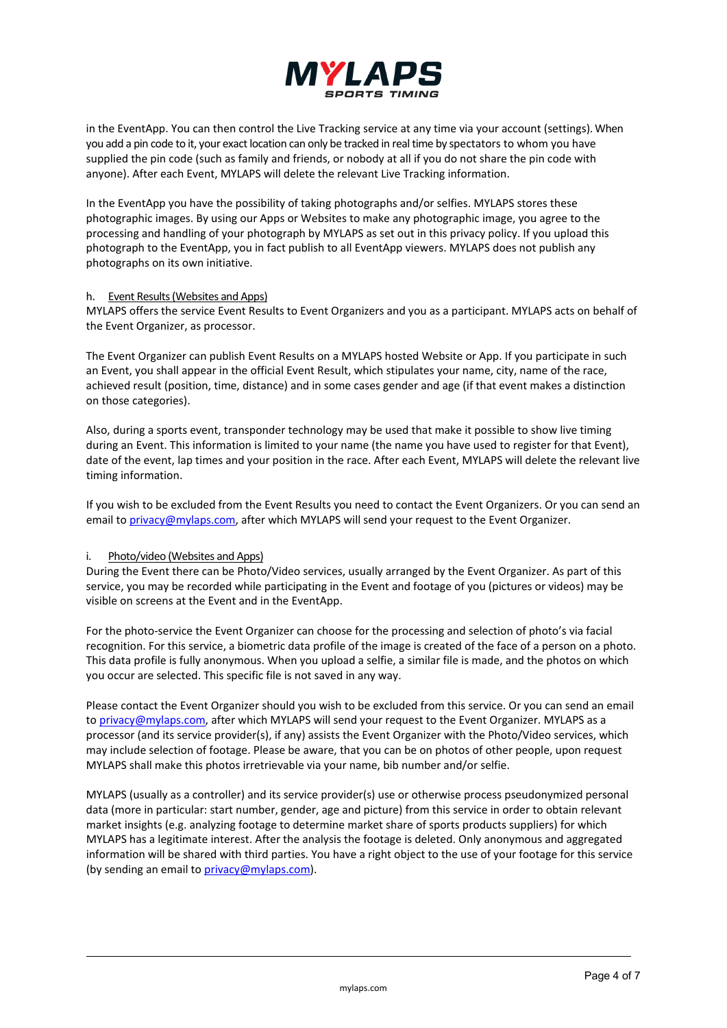

in the EventApp. You can then control the Live Tracking service at any time via your account (settings). When you add a pin code to it, your exact location can only be tracked in real time by spectators to whom you have supplied the pin code (such as family and friends, or nobody at all if you do not share the pin code with anyone). After each Event, MYLAPS will delete the relevant Live Tracking information.

In the EventApp you have the possibility of taking photographs and/or selfies. MYLAPS stores these photographic images. By using our Apps or Websites to make any photographic image, you agree to the processing and handling of your photograph by MYLAPS as set out in this privacy policy. If you upload this photograph to the EventApp, you in fact publish to all EventApp viewers. MYLAPS does not publish any photographs on its own initiative.

### h. Event Results (Websites and Apps)

MYLAPS offers the service Event Results to Event Organizers and you as a participant. MYLAPS acts on behalf of the Event Organizer, as processor.

The Event Organizer can publish Event Results on a MYLAPS hosted Website or App. If you participate in such an Event, you shall appear in the official Event Result, which stipulates your name, city, name of the race, achieved result (position, time, distance) and in some cases gender and age (if that event makes a distinction on those categories).

Also, during a sports event, transponder technology may be used that make it possible to show live timing during an Event. This information is limited to your name (the name you have used to register for that Event), date of the event, lap times and your position in the race. After each Event, MYLAPS will delete the relevant live timing information.

If you wish to be excluded from the Event Results you need to contact the Event Organizers. Or you can send an email to [privacy@mylaps.com,](mailto:privacy@mylaps.com) after which MYLAPS will send your request to the Event Organizer.

# i. Photo/video (Websites and Apps)

During the Event there can be Photo/Video services, usually arranged by the Event Organizer. As part of this service, you may be recorded while participating in the Event and footage of you (pictures or videos) may be visible on screens at the Event and in the EventApp.

For the photo-service the Event Organizer can choose for the processing and selection of photo's via facial recognition. For this service, a biometric data profile of the image is created of the face of a person on a photo. This data profile is fully anonymous. When you upload a selfie, a similar file is made, and the photos on which you occur are selected. This specific file is not saved in any way.

Please contact the Event Organizer should you wish to be excluded from this service. Or you can send an email t[o privacy@mylaps.com,](mailto:privacy@mylaps.com) after which MYLAPS will send your request to the Event Organizer. MYLAPS as a processor (and its service provider(s), if any) assists the Event Organizer with the Photo/Video services, which may include selection of footage. Please be aware, that you can be on photos of other people, upon request MYLAPS shall make this photos irretrievable via your name, bib number and/or selfie.

MYLAPS (usually as a controller) and its service provider(s) use or otherwise process pseudonymized personal data (more in particular: start number, gender, age and picture) from this service in order to obtain relevant market insights (e.g. analyzing footage to determine market share of sports products suppliers) for which MYLAPS has a legitimate interest. After the analysis the footage is deleted. Only anonymous and aggregated information will be shared with third parties. You have a right object to the use of your footage for this service (by sending an email to [privacy@mylaps.com\)](mailto:privacy@mylaps.com).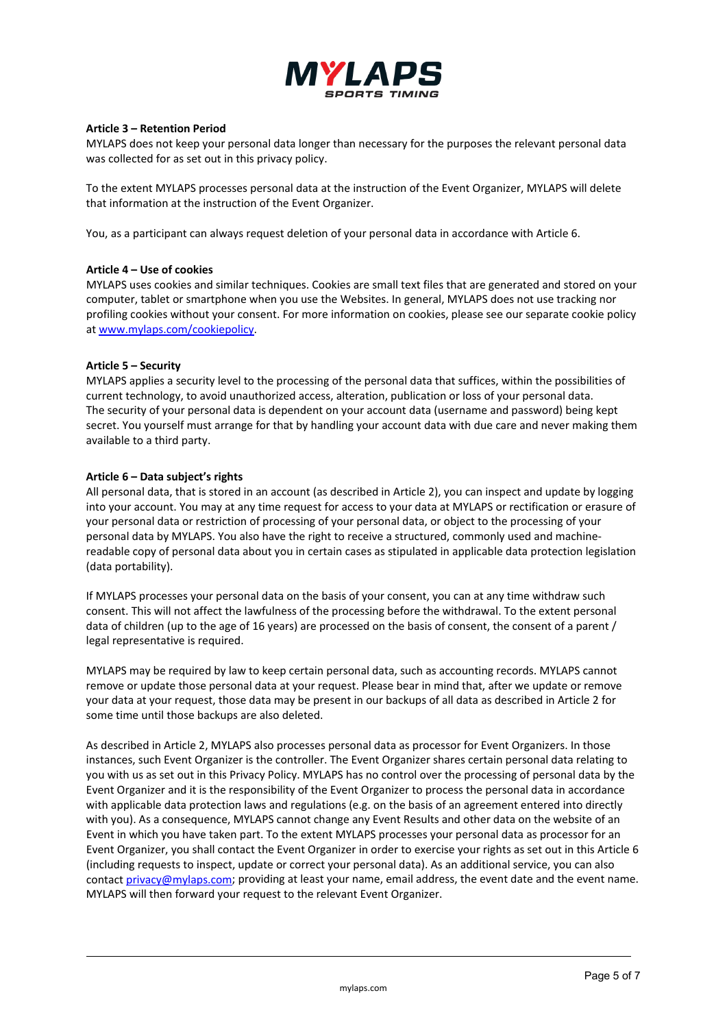

### **Article 3 – Retention Period**

MYLAPS does not keep your personal data longer than necessary for the purposes the relevant personal data was collected for as set out in this privacy policy.

To the extent MYLAPS processes personal data at the instruction of the Event Organizer, MYLAPS will delete that information at the instruction of the Event Organizer.

You, as a participant can always request deletion of your personal data in accordance with Article 6.

### **Article 4 – Use of cookies**

MYLAPS uses cookies and similar techniques. Cookies are small text files that are generated and stored on your computer, tablet or smartphone when you use the Websites. In general, MYLAPS does not use tracking nor profiling cookies without your consent. For more information on cookies, please see our separate cookie policy at [www.mylaps.com/cookiepolicy.](http://www.mylaps.com/cookiepolicy)

### **Article 5 – Security**

MYLAPS applies a security level to the processing of the personal data that suffices, within the possibilities of current technology, to avoid unauthorized access, alteration, publication or loss of your personal data. The security of your personal data is dependent on your account data (username and password) being kept secret. You yourself must arrange for that by handling your account data with due care and never making them available to a third party.

### **Article 6 – Data subject's rights**

All personal data, that is stored in an account (as described in Article 2), you can inspect and update by logging into your account. You may at any time request for access to your data at MYLAPS or rectification or erasure of your personal data or restriction of processing of your personal data, or object to the processing of your personal data by MYLAPS. You also have the right to receive a structured, commonly used and machinereadable copy of personal data about you in certain cases as stipulated in applicable data protection legislation (data portability).

If MYLAPS processes your personal data on the basis of your consent, you can at any time withdraw such consent. This will not affect the lawfulness of the processing before the withdrawal. To the extent personal data of children (up to the age of 16 years) are processed on the basis of consent, the consent of a parent / legal representative is required.

MYLAPS may be required by law to keep certain personal data, such as accounting records. MYLAPS cannot remove or update those personal data at your request. Please bear in mind that, after we update or remove your data at your request, those data may be present in our backups of all data as described in Article 2 for some time until those backups are also deleted.

As described in Article 2, MYLAPS also processes personal data as processor for Event Organizers. In those instances, such Event Organizer is the controller. The Event Organizer shares certain personal data relating to you with us as set out in this Privacy Policy. MYLAPS has no control over the processing of personal data by the Event Organizer and it is the responsibility of the Event Organizer to process the personal data in accordance with applicable data protection laws and regulations (e.g. on the basis of an agreement entered into directly with you). As a consequence, MYLAPS cannot change any Event Results and other data on the website of an Event in which you have taken part. To the extent MYLAPS processes your personal data as processor for an Event Organizer, you shall contact the Event Organizer in order to exercise your rights as set out in this Article 6 (including requests to inspect, update or correct your personal data). As an additional service, you can also contac[t privacy@mylaps.com;](mailto:privacy@mylaps.com) providing at least your name, email address, the event date and the event name. MYLAPS will then forward your request to the relevant Event Organizer.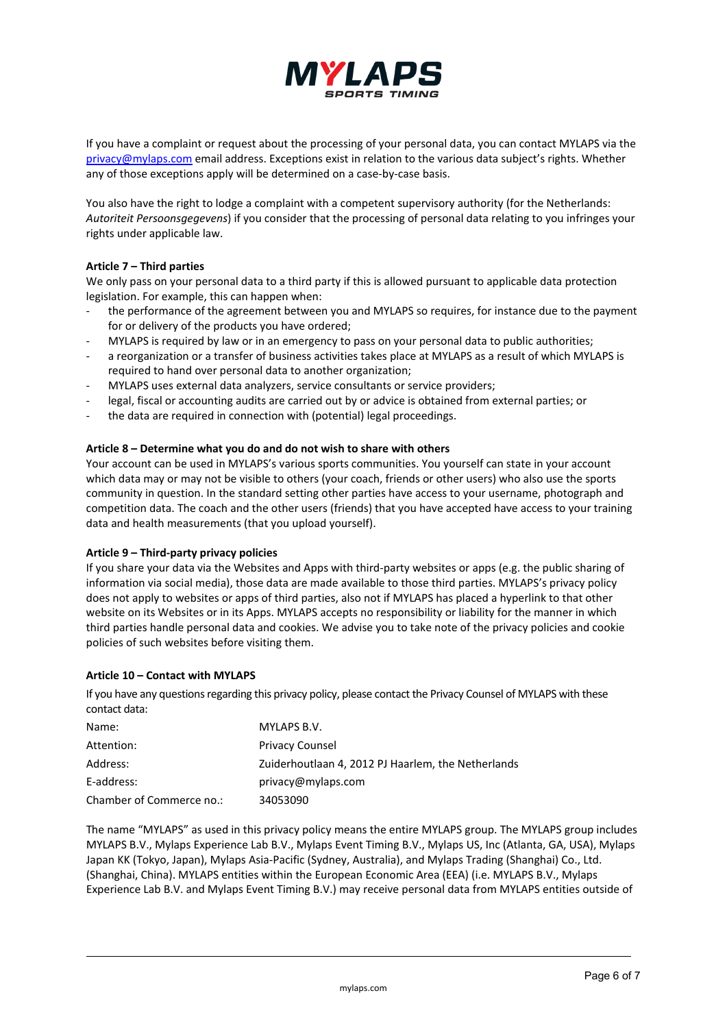

If you have a complaint or request about the processing of your personal data, you can contact MYLAPS via the [privacy@mylaps.com](mailto:privacy@mylaps.com) email address. Exceptions exist in relation to the various data subject's rights. Whether any of those exceptions apply will be determined on a case-by-case basis.

You also have the right to lodge a complaint with a competent supervisory authority (for the Netherlands: *Autoriteit Persoonsgegevens*) if you consider that the processing of personal data relating to you infringes your rights under applicable law.

# **Article 7 – Third parties**

We only pass on your personal data to a third party if this is allowed pursuant to applicable data protection legislation. For example, this can happen when:

- the performance of the agreement between you and MYLAPS so requires, for instance due to the payment for or delivery of the products you have ordered;
- MYLAPS is required by law or in an emergency to pass on your personal data to public authorities;
- a reorganization or a transfer of business activities takes place at MYLAPS as a result of which MYLAPS is required to hand over personal data to another organization;
- MYLAPS uses external data analyzers, service consultants or service providers;
- legal, fiscal or accounting audits are carried out by or advice is obtained from external parties; or
- the data are required in connection with (potential) legal proceedings.

# **Article 8 – Determine what you do and do not wish to share with others**

Your account can be used in MYLAPS's various sports communities. You yourself can state in your account which data may or may not be visible to others (your coach, friends or other users) who also use the sports community in question. In the standard setting other parties have access to your username, photograph and competition data. The coach and the other users (friends) that you have accepted have access to your training data and health measurements (that you upload yourself).

# **Article 9 – Third-party privacy policies**

If you share your data via the Websites and Apps with third-party websites or apps (e.g. the public sharing of information via social media), those data are made available to those third parties. MYLAPS's privacy policy does not apply to websites or apps of third parties, also not if MYLAPS has placed a hyperlink to that other website on its Websites or in its Apps. MYLAPS accepts no responsibility or liability for the manner in which third parties handle personal data and cookies. We advise you to take note of the privacy policies and cookie policies of such websites before visiting them.

# **Article 10 – Contact with MYLAPS**

If you have any questions regarding this privacy policy, please contact the Privacy Counsel of MYLAPS with these contact data:

| Name:                    | MYLAPS B.V.                                        |
|--------------------------|----------------------------------------------------|
| Attention:               | <b>Privacy Counsel</b>                             |
| Address:                 | Zuiderhoutlaan 4, 2012 PJ Haarlem, the Netherlands |
| E-address:               | privacy@mylaps.com                                 |
| Chamber of Commerce no.: | 34053090                                           |

The name "MYLAPS" as used in this privacy policy means the entire MYLAPS group. The MYLAPS group includes MYLAPS B.V., Mylaps Experience Lab B.V., Mylaps Event Timing B.V., Mylaps US, Inc (Atlanta, GA, USA), Mylaps Japan KK (Tokyo, Japan), Mylaps Asia-Pacific (Sydney, Australia), and Mylaps Trading (Shanghai) Co., Ltd. (Shanghai, China). MYLAPS entities within the European Economic Area (EEA) (i.e. MYLAPS B.V., Mylaps Experience Lab B.V. and Mylaps Event Timing B.V.) may receive personal data from MYLAPS entities outside of